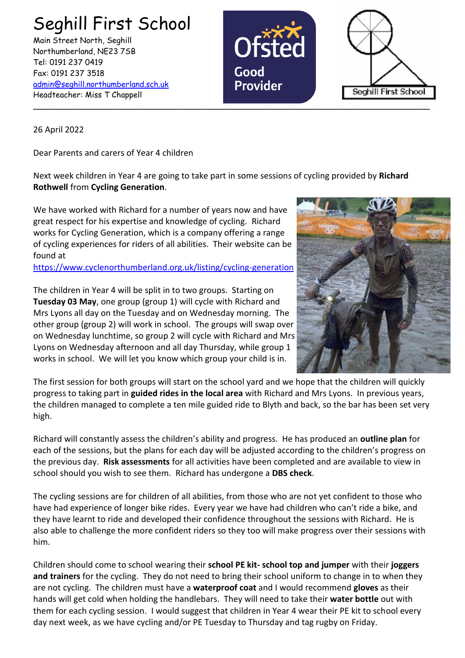Seghill First School Main Street North, Seghill Northumberland, NE23 7SB Tel: 0191 237 0419 Fax: 0191 237 3518 [admin@seghill.northumberland.sch.uk](mailto:admin@seghill.northumberland.sch.uk) Headteacher: Miss T Chappell





26 April 2022

Dear Parents and carers of Year 4 children

Next week children in Year 4 are going to take part in some sessions of cycling provided by **Richard Rothwell** from **Cycling Generation**.

We have worked with Richard for a number of years now and have great respect for his expertise and knowledge of cycling. Richard works for Cycling Generation, which is a company offering a range of cycling experiences for riders of all abilities. Their website can be found at

<https://www.cyclenorthumberland.org.uk/listing/cycling-generation>



The children in Year 4 will be split in to two groups. Starting on **Tuesday 03 May**, one group (group 1) will cycle with Richard and Mrs Lyons all day on the Tuesday and on Wednesday morning. The other group (group 2) will work in school. The groups will swap over on Wednesday lunchtime, so group 2 will cycle with Richard and Mrs Lyons on Wednesday afternoon and all day Thursday, while group 1 works in school. We will let you know which group your child is in.

The first session for both groups will start on the school yard and we hope that the children will quickly progress to taking part in **guided rides in the local area** with Richard and Mrs Lyons. In previous years, the children managed to complete a ten mile guided ride to Blyth and back, so the bar has been set very high.

Richard will constantly assess the children's ability and progress. He has produced an **outline plan** for each of the sessions, but the plans for each day will be adjusted according to the children's progress on the previous day. **Risk assessments** for all activities have been completed and are available to view in school should you wish to see them. Richard has undergone a **DBS check**.

The cycling sessions are for children of all abilities, from those who are not yet confident to those who have had experience of longer bike rides. Every year we have had children who can't ride a bike, and they have learnt to ride and developed their confidence throughout the sessions with Richard. He is also able to challenge the more confident riders so they too will make progress over their sessions with him.

Children should come to school wearing their **school PE kit- school top and jumper** with their **joggers and trainers** for the cycling. They do not need to bring their school uniform to change in to when they are not cycling. The children must have a **waterproof coat** and I would recommend **gloves** as their hands will get cold when holding the handlebars. They will need to take their **water bottle** out with them for each cycling session. I would suggest that children in Year 4 wear their PE kit to school every day next week, as we have cycling and/or PE Tuesday to Thursday and tag rugby on Friday.